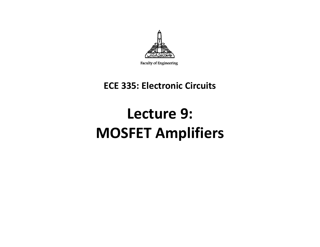

Faculty of Engineering

#### **ECE 335: Electronic Circuits**

## **Lecture 9: MOSFET Amplifiers**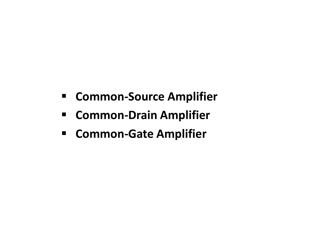- **E** Common-Source Amplifier
- **ECOMMON-Drain Amplifier**
- **ECOMMON-Gate Amplifier**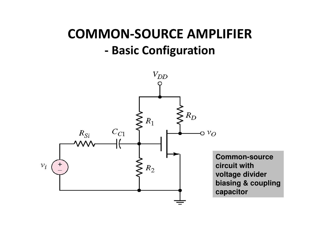#### **COMMON-SOURCE AMPLIFIER- Basic Configuration**

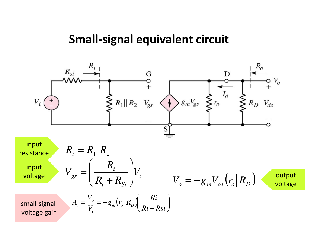#### **Small-signal equivalent circuit**

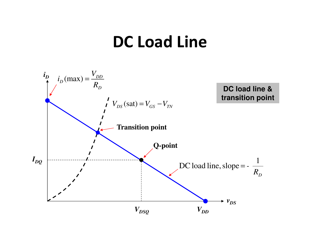## **DC Load Line**

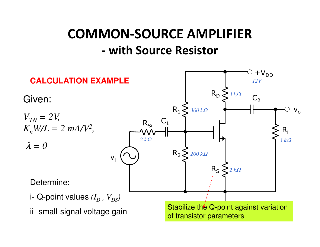#### **COMMON-SOURCE AMPLIFIER with Source Resistor**

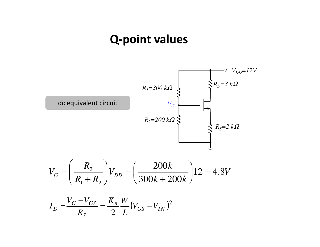#### **Q-point values**

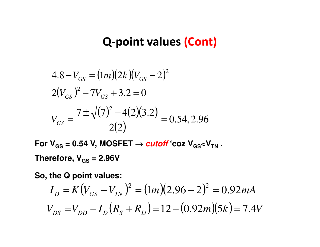### **Q-point values (Cont)**

$$
4.8 - V_{GS} = (1m)(2k)(V_{GS} - 2)^{2}
$$
  
2(V<sub>GS</sub>)<sup>2</sup> – 7V<sub>GS</sub> + 3.2 = 0  

$$
V_{GS} = \frac{7 \pm \sqrt{(7)^{2} - 4(2)(3.2)}}{2(2)} = 0.54, 2.96
$$

 $\textsf{For V}_{\textsf{GS}}$  = 0.54 V, MOSFET →  $\textit{cutoff}$  'coz V<sub>GS</sub><V<sub>TN</sub> . **Therefore, VGS = 2.96V**

**So, the Q point values:**

$$
I_D = K(V_{GS} - V_{TN})^2 = (1m)(2.96 - 2)^2 = 0.92mA
$$
  

$$
V_{DS} = V_{DD} - I_D(R_S + R_D) = 12 - (0.92m)(5k) = 7.4V
$$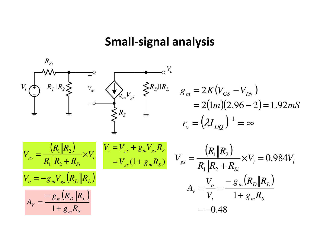#### **Small-signal analysis**

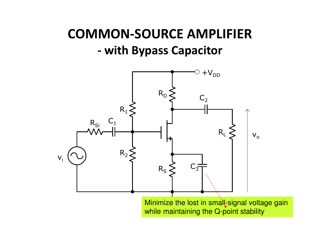#### **COMMON-SOURCE AMPLIFIER with Bypass Capacitor**



Minimize the lost in small-signal voltage gain while maintaining the Q-point stability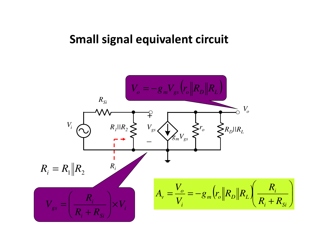#### **Small signal equivalent circuit**

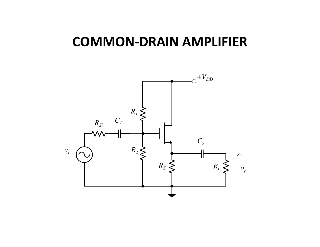## **COMMON-DRAIN AMPLIFIER**

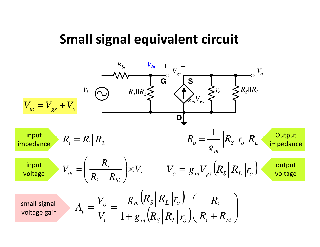## **Small signal equivalent circuit**

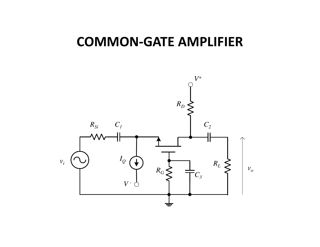## **COMMON-GATE AMPLIFIER**

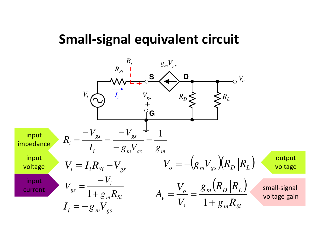## **Small-signal equivalent circuit**